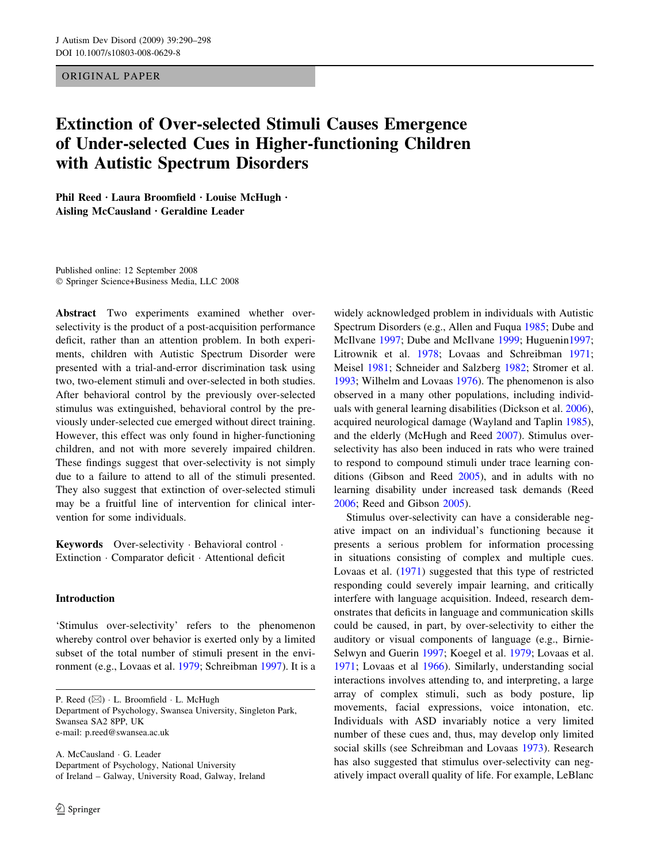## ORIGINAL PAPER

# Extinction of Over-selected Stimuli Causes Emergence of Under-selected Cues in Higher-functioning Children with Autistic Spectrum Disorders

Phil Reed · Laura Broomfield · Louise McHugh · Aisling McCausland  $\cdot$  Geraldine Leader

Published online: 12 September 2008 Springer Science+Business Media, LLC 2008

Abstract Two experiments examined whether overselectivity is the product of a post-acquisition performance deficit, rather than an attention problem. In both experiments, children with Autistic Spectrum Disorder were presented with a trial-and-error discrimination task using two, two-element stimuli and over-selected in both studies. After behavioral control by the previously over-selected stimulus was extinguished, behavioral control by the previously under-selected cue emerged without direct training. However, this effect was only found in higher-functioning children, and not with more severely impaired children. These findings suggest that over-selectivity is not simply due to a failure to attend to all of the stimuli presented. They also suggest that extinction of over-selected stimuli may be a fruitful line of intervention for clinical intervention for some individuals.

**Keywords** Over-selectivity Behavioral control  $\cdot$ Extinction · Comparator deficit · Attentional deficit

## Introduction

'Stimulus over-selectivity' refers to the phenomenon whereby control over behavior is exerted only by a limited subset of the total number of stimuli present in the environment (e.g., Lovaas et al. [1979](#page-7-0); Schreibman [1997\)](#page-8-0). It is a

P. Reed  $(\boxtimes)$   $\cdot$  L. Broomfield  $\cdot$  L. McHugh Department of Psychology, Swansea University, Singleton Park, Swansea SA2 8PP, UK e-mail: p.reed@swansea.ac.uk

A. McCausland · G. Leader Department of Psychology, National University of Ireland – Galway, University Road, Galway, Ireland

widely acknowledged problem in individuals with Autistic Spectrum Disorders (e.g., Allen and Fuqua [1985](#page-7-0); Dube and McIlvane [1997](#page-7-0); Dube and McIlvane [1999](#page-7-0); Hugueni[n1997](#page-7-0); Litrownik et al. [1978](#page-7-0); Lovaas and Schreibman [1971](#page-7-0); Meisel [1981;](#page-7-0) Schneider and Salzberg [1982](#page-8-0); Stromer et al. [1993](#page-8-0); Wilhelm and Lovaas [1976\)](#page-8-0). The phenomenon is also observed in a many other populations, including individuals with general learning disabilities (Dickson et al. [2006](#page-7-0)), acquired neurological damage (Wayland and Taplin [1985](#page-8-0)), and the elderly (McHugh and Reed [2007\)](#page-7-0). Stimulus overselectivity has also been induced in rats who were trained to respond to compound stimuli under trace learning conditions (Gibson and Reed [2005](#page-7-0)), and in adults with no learning disability under increased task demands (Reed [2006](#page-8-0); Reed and Gibson [2005\)](#page-8-0).

Stimulus over-selectivity can have a considerable negative impact on an individual's functioning because it presents a serious problem for information processing in situations consisting of complex and multiple cues. Lovaas et al. ([1971\)](#page-7-0) suggested that this type of restricted responding could severely impair learning, and critically interfere with language acquisition. Indeed, research demonstrates that deficits in language and communication skills could be caused, in part, by over-selectivity to either the auditory or visual components of language (e.g., Birnie-Selwyn and Guerin [1997;](#page-7-0) Koegel et al. [1979;](#page-7-0) Lovaas et al. [1971](#page-7-0); Lovaas et al [1966](#page-7-0)). Similarly, understanding social interactions involves attending to, and interpreting, a large array of complex stimuli, such as body posture, lip movements, facial expressions, voice intonation, etc. Individuals with ASD invariably notice a very limited number of these cues and, thus, may develop only limited social skills (see Schreibman and Lovaas [1973](#page-8-0)). Research has also suggested that stimulus over-selectivity can negatively impact overall quality of life. For example, LeBlanc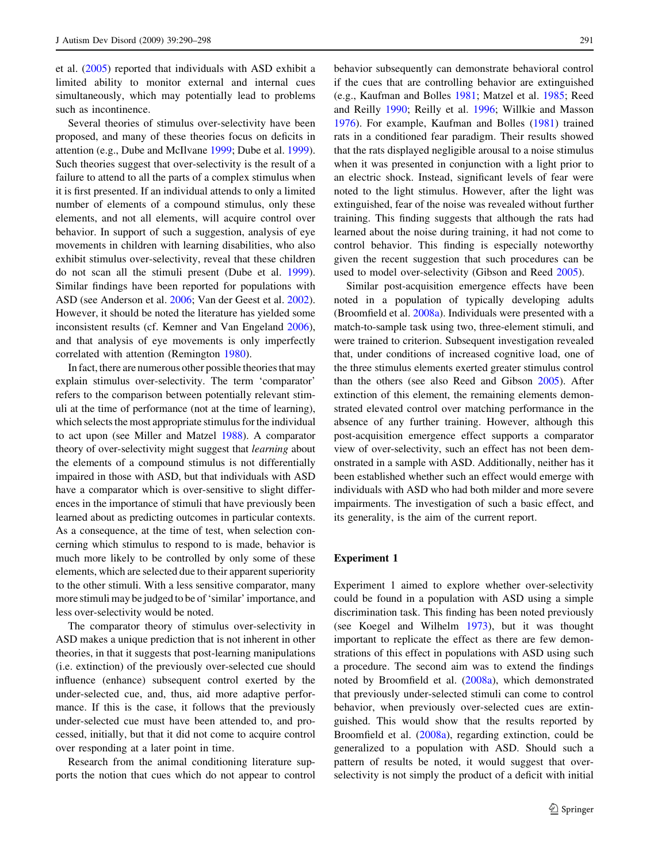et al. [\(2005](#page-7-0)) reported that individuals with ASD exhibit a limited ability to monitor external and internal cues simultaneously, which may potentially lead to problems such as incontinence.

Several theories of stimulus over-selectivity have been proposed, and many of these theories focus on deficits in attention (e.g., Dube and McIlvane [1999;](#page-7-0) Dube et al. [1999](#page-7-0)). Such theories suggest that over-selectivity is the result of a failure to attend to all the parts of a complex stimulus when it is first presented. If an individual attends to only a limited number of elements of a compound stimulus, only these elements, and not all elements, will acquire control over behavior. In support of such a suggestion, analysis of eye movements in children with learning disabilities, who also exhibit stimulus over-selectivity, reveal that these children do not scan all the stimuli present (Dube et al. [1999](#page-7-0)). Similar findings have been reported for populations with ASD (see Anderson et al. [2006;](#page-7-0) Van der Geest et al. [2002](#page-8-0)). However, it should be noted the literature has yielded some inconsistent results (cf. Kemner and Van Engeland [2006](#page-7-0)), and that analysis of eye movements is only imperfectly correlated with attention (Remington [1980](#page-8-0)).

In fact, there are numerous other possible theories that may explain stimulus over-selectivity. The term 'comparator' refers to the comparison between potentially relevant stimuli at the time of performance (not at the time of learning), which selects the most appropriate stimulus for the individual to act upon (see Miller and Matzel [1988](#page-7-0)). A comparator theory of over-selectivity might suggest that learning about the elements of a compound stimulus is not differentially impaired in those with ASD, but that individuals with ASD have a comparator which is over-sensitive to slight differences in the importance of stimuli that have previously been learned about as predicting outcomes in particular contexts. As a consequence, at the time of test, when selection concerning which stimulus to respond to is made, behavior is much more likely to be controlled by only some of these elements, which are selected due to their apparent superiority to the other stimuli. With a less sensitive comparator, many more stimuli may be judged to be of 'similar' importance, and less over-selectivity would be noted.

The comparator theory of stimulus over-selectivity in ASD makes a unique prediction that is not inherent in other theories, in that it suggests that post-learning manipulations (i.e. extinction) of the previously over-selected cue should influence (enhance) subsequent control exerted by the under-selected cue, and, thus, aid more adaptive performance. If this is the case, it follows that the previously under-selected cue must have been attended to, and processed, initially, but that it did not come to acquire control over responding at a later point in time.

Research from the animal conditioning literature supports the notion that cues which do not appear to control behavior subsequently can demonstrate behavioral control if the cues that are controlling behavior are extinguished (e.g., Kaufman and Bolles [1981;](#page-7-0) Matzel et al. [1985;](#page-7-0) Reed and Reilly [1990](#page-8-0); Reilly et al. [1996;](#page-8-0) Willkie and Masson [1976](#page-8-0)). For example, Kaufman and Bolles ([1981\)](#page-7-0) trained rats in a conditioned fear paradigm. Their results showed that the rats displayed negligible arousal to a noise stimulus when it was presented in conjunction with a light prior to an electric shock. Instead, significant levels of fear were noted to the light stimulus. However, after the light was extinguished, fear of the noise was revealed without further training. This finding suggests that although the rats had learned about the noise during training, it had not come to control behavior. This finding is especially noteworthy given the recent suggestion that such procedures can be used to model over-selectivity (Gibson and Reed [2005](#page-7-0)).

Similar post-acquisition emergence effects have been noted in a population of typically developing adults (Broomfield et al. [2008a\)](#page-7-0). Individuals were presented with a match-to-sample task using two, three-element stimuli, and were trained to criterion. Subsequent investigation revealed that, under conditions of increased cognitive load, one of the three stimulus elements exerted greater stimulus control than the others (see also Reed and Gibson [2005\)](#page-8-0). After extinction of this element, the remaining elements demonstrated elevated control over matching performance in the absence of any further training. However, although this post-acquisition emergence effect supports a comparator view of over-selectivity, such an effect has not been demonstrated in a sample with ASD. Additionally, neither has it been established whether such an effect would emerge with individuals with ASD who had both milder and more severe impairments. The investigation of such a basic effect, and its generality, is the aim of the current report.

## Experiment 1

Experiment 1 aimed to explore whether over-selectivity could be found in a population with ASD using a simple discrimination task. This finding has been noted previously (see Koegel and Wilhelm [1973](#page-7-0)), but it was thought important to replicate the effect as there are few demonstrations of this effect in populations with ASD using such a procedure. The second aim was to extend the findings noted by Broomfield et al. ([2008a](#page-7-0)), which demonstrated that previously under-selected stimuli can come to control behavior, when previously over-selected cues are extinguished. This would show that the results reported by Broomfield et al. ([2008a](#page-7-0)), regarding extinction, could be generalized to a population with ASD. Should such a pattern of results be noted, it would suggest that overselectivity is not simply the product of a deficit with initial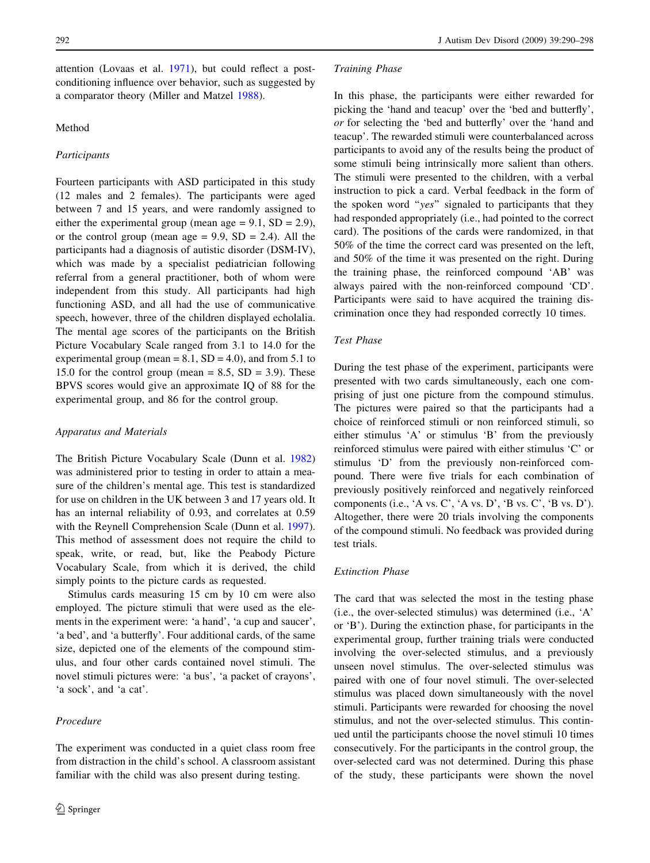attention (Lovaas et al. [1971\)](#page-7-0), but could reflect a postconditioning influence over behavior, such as suggested by a comparator theory (Miller and Matzel [1988](#page-7-0)).

#### Method

## Participants

Fourteen participants with ASD participated in this study (12 males and 2 females). The participants were aged between 7 and 15 years, and were randomly assigned to either the experimental group (mean age  $= 9.1$ , SD  $= 2.9$ ), or the control group (mean age  $= 9.9$ , SD  $= 2.4$ ). All the participants had a diagnosis of autistic disorder (DSM-IV), which was made by a specialist pediatrician following referral from a general practitioner, both of whom were independent from this study. All participants had high functioning ASD, and all had the use of communicative speech, however, three of the children displayed echolalia. The mental age scores of the participants on the British Picture Vocabulary Scale ranged from 3.1 to 14.0 for the experimental group (mean  $= 8.1$ , SD  $= 4.0$ ), and from 5.1 to 15.0 for the control group (mean =  $8.5$ , SD = 3.9). These BPVS scores would give an approximate IQ of 88 for the experimental group, and 86 for the control group.

#### Apparatus and Materials

The British Picture Vocabulary Scale (Dunn et al. [1982\)](#page-7-0) was administered prior to testing in order to attain a measure of the children's mental age. This test is standardized for use on children in the UK between 3 and 17 years old. It has an internal reliability of 0.93, and correlates at 0.59 with the Reynell Comprehension Scale (Dunn et al. [1997](#page-7-0)). This method of assessment does not require the child to speak, write, or read, but, like the Peabody Picture Vocabulary Scale, from which it is derived, the child simply points to the picture cards as requested.

Stimulus cards measuring 15 cm by 10 cm were also employed. The picture stimuli that were used as the elements in the experiment were: 'a hand', 'a cup and saucer', 'a bed', and 'a butterfly'. Four additional cards, of the same size, depicted one of the elements of the compound stimulus, and four other cards contained novel stimuli. The novel stimuli pictures were: 'a bus', 'a packet of crayons', 'a sock', and 'a cat'.

#### Procedure

The experiment was conducted in a quiet class room free from distraction in the child's school. A classroom assistant familiar with the child was also present during testing.

#### Training Phase

In this phase, the participants were either rewarded for picking the 'hand and teacup' over the 'bed and butterfly', or for selecting the 'bed and butterfly' over the 'hand and teacup'. The rewarded stimuli were counterbalanced across participants to avoid any of the results being the product of some stimuli being intrinsically more salient than others. The stimuli were presented to the children, with a verbal instruction to pick a card. Verbal feedback in the form of the spoken word ''yes'' signaled to participants that they had responded appropriately (i.e., had pointed to the correct card). The positions of the cards were randomized, in that 50% of the time the correct card was presented on the left, and 50% of the time it was presented on the right. During the training phase, the reinforced compound 'AB' was always paired with the non-reinforced compound 'CD'. Participants were said to have acquired the training discrimination once they had responded correctly 10 times.

#### Test Phase

During the test phase of the experiment, participants were presented with two cards simultaneously, each one comprising of just one picture from the compound stimulus. The pictures were paired so that the participants had a choice of reinforced stimuli or non reinforced stimuli, so either stimulus 'A' or stimulus 'B' from the previously reinforced stimulus were paired with either stimulus 'C' or stimulus 'D' from the previously non-reinforced compound. There were five trials for each combination of previously positively reinforced and negatively reinforced components (i.e., 'A vs. C', 'A vs. D', 'B vs. C', 'B vs. D'). Altogether, there were 20 trials involving the components of the compound stimuli. No feedback was provided during test trials.

#### Extinction Phase

The card that was selected the most in the testing phase (i.e., the over-selected stimulus) was determined (i.e., 'A' or 'B'). During the extinction phase, for participants in the experimental group, further training trials were conducted involving the over-selected stimulus, and a previously unseen novel stimulus. The over-selected stimulus was paired with one of four novel stimuli. The over-selected stimulus was placed down simultaneously with the novel stimuli. Participants were rewarded for choosing the novel stimulus, and not the over-selected stimulus. This continued until the participants choose the novel stimuli 10 times consecutively. For the participants in the control group, the over-selected card was not determined. During this phase of the study, these participants were shown the novel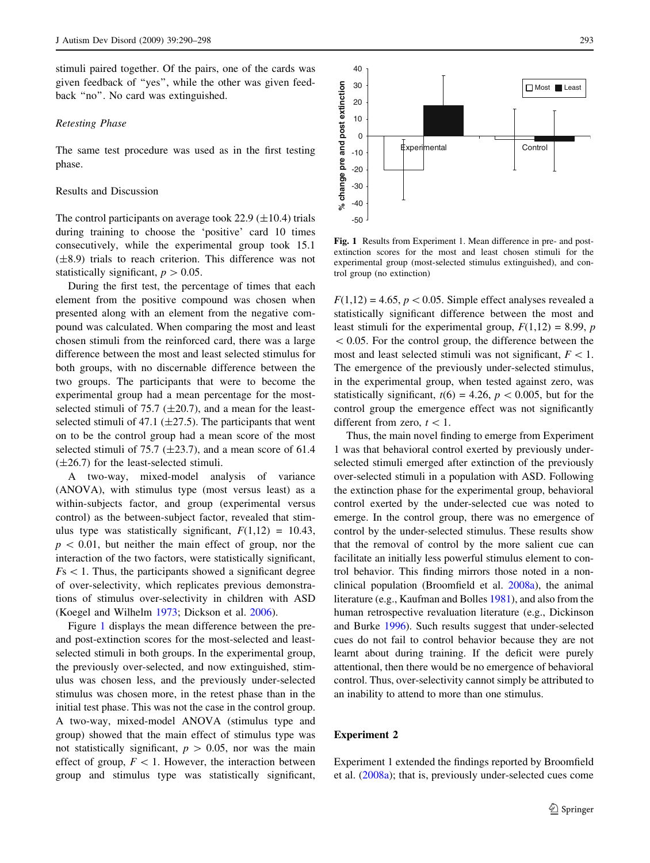stimuli paired together. Of the pairs, one of the cards was given feedback of ''yes'', while the other was given feedback ''no''. No card was extinguished.

#### Retesting Phase

The same test procedure was used as in the first testing phase.

#### Results and Discussion

The control participants on average took 22.9 ( $\pm$ 10.4) trials during training to choose the 'positive' card 10 times consecutively, while the experimental group took 15.1  $(\pm 8.9)$  trials to reach criterion. This difference was not statistically significant,  $p > 0.05$ .

During the first test, the percentage of times that each element from the positive compound was chosen when presented along with an element from the negative compound was calculated. When comparing the most and least chosen stimuli from the reinforced card, there was a large difference between the most and least selected stimulus for both groups, with no discernable difference between the two groups. The participants that were to become the experimental group had a mean percentage for the mostselected stimuli of 75.7  $(\pm 20.7)$ , and a mean for the leastselected stimuli of 47.1 ( $\pm$ 27.5). The participants that went on to be the control group had a mean score of the most selected stimuli of 75.7 ( $\pm$ 23.7), and a mean score of 61.4  $(\pm 26.7)$  for the least-selected stimuli.

A two-way, mixed-model analysis of variance (ANOVA), with stimulus type (most versus least) as a within-subjects factor, and group (experimental versus control) as the between-subject factor, revealed that stimulus type was statistically significant,  $F(1,12) = 10.43$ ,  $p \, < 0.01$ , but neither the main effect of group, nor the interaction of the two factors, were statistically significant,  $Fs<1$ . Thus, the participants showed a significant degree of over-selectivity, which replicates previous demonstrations of stimulus over-selectivity in children with ASD (Koegel and Wilhelm [1973;](#page-7-0) Dickson et al. [2006](#page-7-0)).

Figure 1 displays the mean difference between the preand post-extinction scores for the most-selected and leastselected stimuli in both groups. In the experimental group, the previously over-selected, and now extinguished, stimulus was chosen less, and the previously under-selected stimulus was chosen more, in the retest phase than in the initial test phase. This was not the case in the control group. A two-way, mixed-model ANOVA (stimulus type and group) showed that the main effect of stimulus type was not statistically significant,  $p > 0.05$ , nor was the main effect of group,  $F \, < 1$ . However, the interaction between group and stimulus type was statistically significant,



Fig. 1 Results from Experiment 1. Mean difference in pre- and postextinction scores for the most and least chosen stimuli for the experimental group (most-selected stimulus extinguished), and control group (no extinction)

 $F(1,12) = 4.65$ ,  $p < 0.05$ . Simple effect analyses revealed a statistically significant difference between the most and least stimuli for the experimental group,  $F(1,12) = 8.99$ , p  $< 0.05$ . For the control group, the difference between the most and least selected stimuli was not significant,  $F\leq 1$ . The emergence of the previously under-selected stimulus, in the experimental group, when tested against zero, was statistically significant,  $t(6) = 4.26$ ,  $p < 0.005$ , but for the control group the emergence effect was not significantly different from zero,  $t < 1$ .

Thus, the main novel finding to emerge from Experiment 1 was that behavioral control exerted by previously underselected stimuli emerged after extinction of the previously over-selected stimuli in a population with ASD. Following the extinction phase for the experimental group, behavioral control exerted by the under-selected cue was noted to emerge. In the control group, there was no emergence of control by the under-selected stimulus. These results show that the removal of control by the more salient cue can facilitate an initially less powerful stimulus element to control behavior. This finding mirrors those noted in a nonclinical population (Broomfield et al. [2008a](#page-7-0)), the animal literature (e.g., Kaufman and Bolles [1981\)](#page-7-0), and also from the human retrospective revaluation literature (e.g., Dickinson and Burke [1996\)](#page-7-0). Such results suggest that under-selected cues do not fail to control behavior because they are not learnt about during training. If the deficit were purely attentional, then there would be no emergence of behavioral control. Thus, over-selectivity cannot simply be attributed to an inability to attend to more than one stimulus.

# Experiment 2

Experiment 1 extended the findings reported by Broomfield et al. [\(2008a\)](#page-7-0); that is, previously under-selected cues come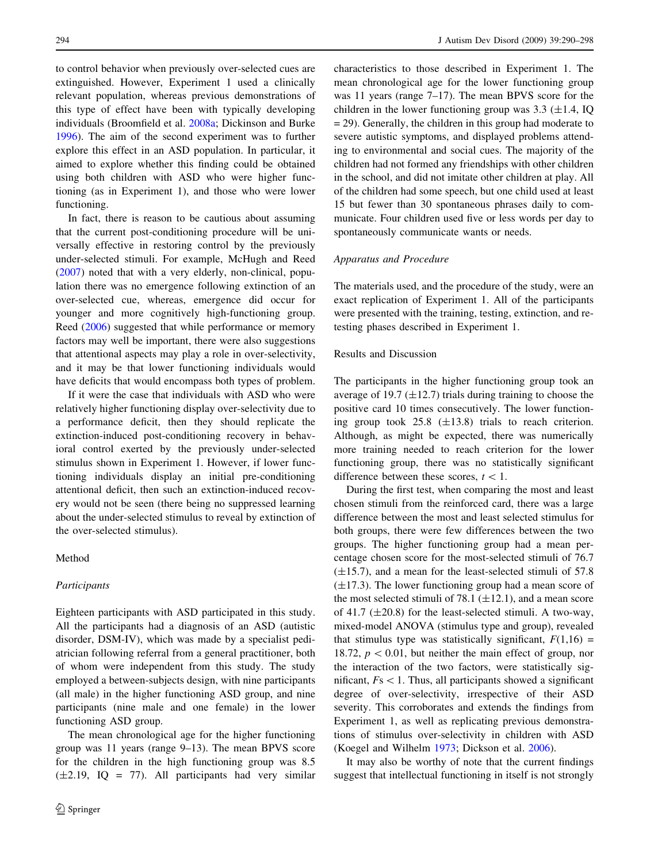to control behavior when previously over-selected cues are extinguished. However, Experiment 1 used a clinically relevant population, whereas previous demonstrations of this type of effect have been with typically developing individuals (Broomfield et al. [2008a;](#page-7-0) Dickinson and Burke [1996\)](#page-7-0). The aim of the second experiment was to further explore this effect in an ASD population. In particular, it aimed to explore whether this finding could be obtained using both children with ASD who were higher functioning (as in Experiment 1), and those who were lower functioning.

In fact, there is reason to be cautious about assuming that the current post-conditioning procedure will be universally effective in restoring control by the previously under-selected stimuli. For example, McHugh and Reed [\(2007](#page-7-0)) noted that with a very elderly, non-clinical, population there was no emergence following extinction of an over-selected cue, whereas, emergence did occur for younger and more cognitively high-functioning group. Reed [\(2006](#page-8-0)) suggested that while performance or memory factors may well be important, there were also suggestions that attentional aspects may play a role in over-selectivity, and it may be that lower functioning individuals would have deficits that would encompass both types of problem.

If it were the case that individuals with ASD who were relatively higher functioning display over-selectivity due to a performance deficit, then they should replicate the extinction-induced post-conditioning recovery in behavioral control exerted by the previously under-selected stimulus shown in Experiment 1. However, if lower functioning individuals display an initial pre-conditioning attentional deficit, then such an extinction-induced recovery would not be seen (there being no suppressed learning about the under-selected stimulus to reveal by extinction of the over-selected stimulus).

#### Method

#### Participants

Eighteen participants with ASD participated in this study. All the participants had a diagnosis of an ASD (autistic disorder, DSM-IV), which was made by a specialist pediatrician following referral from a general practitioner, both of whom were independent from this study. The study employed a between-subjects design, with nine participants (all male) in the higher functioning ASD group, and nine participants (nine male and one female) in the lower functioning ASD group.

The mean chronological age for the higher functioning group was 11 years (range 9–13). The mean BPVS score for the children in the high functioning group was 8.5  $(\pm 2.19, \text{ IQ} = 77)$ . All participants had very similar characteristics to those described in Experiment 1. The mean chronological age for the lower functioning group was 11 years (range 7–17). The mean BPVS score for the children in the lower functioning group was  $3.3 \ (\pm 1.4, 10$ = 29). Generally, the children in this group had moderate to severe autistic symptoms, and displayed problems attending to environmental and social cues. The majority of the children had not formed any friendships with other children in the school, and did not imitate other children at play. All of the children had some speech, but one child used at least 15 but fewer than 30 spontaneous phrases daily to communicate. Four children used five or less words per day to spontaneously communicate wants or needs.

#### Apparatus and Procedure

The materials used, and the procedure of the study, were an exact replication of Experiment 1. All of the participants were presented with the training, testing, extinction, and retesting phases described in Experiment 1.

## Results and Discussion

The participants in the higher functioning group took an average of 19.7 ( $\pm$ 12.7) trials during training to choose the positive card 10 times consecutively. The lower functioning group took 25.8  $(\pm 13.8)$  trials to reach criterion. Although, as might be expected, there was numerically more training needed to reach criterion for the lower functioning group, there was no statistically significant difference between these scores,  $t \, < 1$ .

During the first test, when comparing the most and least chosen stimuli from the reinforced card, there was a large difference between the most and least selected stimulus for both groups, there were few differences between the two groups. The higher functioning group had a mean percentage chosen score for the most-selected stimuli of 76.7  $(\pm 15.7)$ , and a mean for the least-selected stimuli of 57.8  $(\pm 17.3)$ . The lower functioning group had a mean score of the most selected stimuli of 78.1  $(\pm 12.1)$ , and a mean score of 41.7  $(\pm 20.8)$  for the least-selected stimuli. A two-way, mixed-model ANOVA (stimulus type and group), revealed that stimulus type was statistically significant,  $F(1,16) =$ 18.72,  $p < 0.01$ , but neither the main effect of group, nor the interaction of the two factors, were statistically significant,  $Fs<1$ . Thus, all participants showed a significant degree of over-selectivity, irrespective of their ASD severity. This corroborates and extends the findings from Experiment 1, as well as replicating previous demonstrations of stimulus over-selectivity in children with ASD (Koegel and Wilhelm [1973;](#page-7-0) Dickson et al. [2006](#page-7-0)).

It may also be worthy of note that the current findings suggest that intellectual functioning in itself is not strongly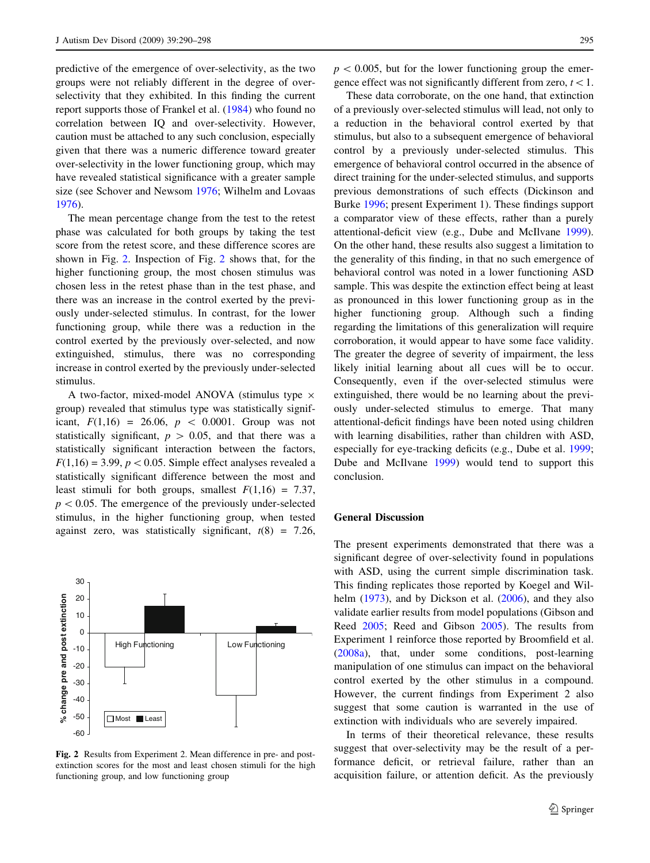predictive of the emergence of over-selectivity, as the two groups were not reliably different in the degree of overselectivity that they exhibited. In this finding the current report supports those of Frankel et al. [\(1984\)](#page-7-0) who found no correlation between IQ and over-selectivity. However, caution must be attached to any such conclusion, especially given that there was a numeric difference toward greater over-selectivity in the lower functioning group, which may have revealed statistical significance with a greater sample size (see Schover and Newsom [1976](#page-8-0); Wilhelm and Lovaas [1976\)](#page-8-0).

The mean percentage change from the test to the retest phase was calculated for both groups by taking the test score from the retest score, and these difference scores are shown in Fig. 2. Inspection of Fig. 2 shows that, for the higher functioning group, the most chosen stimulus was chosen less in the retest phase than in the test phase, and there was an increase in the control exerted by the previously under-selected stimulus. In contrast, for the lower functioning group, while there was a reduction in the control exerted by the previously over-selected, and now extinguished, stimulus, there was no corresponding increase in control exerted by the previously under-selected stimulus.

A two-factor, mixed-model ANOVA (stimulus type  $\times$ group) revealed that stimulus type was statistically significant,  $F(1,16) = 26.06$ ,  $p \, < \, 0.0001$ . Group was not statistically significant,  $p > 0.05$ , and that there was a statistically significant interaction between the factors,  $F(1,16) = 3.99$ ,  $p < 0.05$ . Simple effect analyses revealed a statistically significant difference between the most and least stimuli for both groups, smallest  $F(1,16) = 7.37$ ,  $p<0.05$ . The emergence of the previously under-selected stimulus, in the higher functioning group, when tested against zero, was statistically significant,  $t(8) = 7.26$ ,



Fig. 2 Results from Experiment 2. Mean difference in pre- and postextinction scores for the most and least chosen stimuli for the high functioning group, and low functioning group

 $p \lt 0.005$ , but for the lower functioning group the emergence effect was not significantly different from zero,  $t < 1$ .

These data corroborate, on the one hand, that extinction of a previously over-selected stimulus will lead, not only to a reduction in the behavioral control exerted by that stimulus, but also to a subsequent emergence of behavioral control by a previously under-selected stimulus. This emergence of behavioral control occurred in the absence of direct training for the under-selected stimulus, and supports previous demonstrations of such effects (Dickinson and Burke [1996](#page-7-0); present Experiment 1). These findings support a comparator view of these effects, rather than a purely attentional-deficit view (e.g., Dube and McIlvane [1999](#page-7-0)). On the other hand, these results also suggest a limitation to the generality of this finding, in that no such emergence of behavioral control was noted in a lower functioning ASD sample. This was despite the extinction effect being at least as pronounced in this lower functioning group as in the higher functioning group. Although such a finding regarding the limitations of this generalization will require corroboration, it would appear to have some face validity. The greater the degree of severity of impairment, the less likely initial learning about all cues will be to occur. Consequently, even if the over-selected stimulus were extinguished, there would be no learning about the previously under-selected stimulus to emerge. That many attentional-deficit findings have been noted using children with learning disabilities, rather than children with ASD, especially for eye-tracking deficits (e.g., Dube et al. [1999](#page-7-0); Dube and McIlvane [1999\)](#page-7-0) would tend to support this conclusion.

#### General Discussion

The present experiments demonstrated that there was a significant degree of over-selectivity found in populations with ASD, using the current simple discrimination task. This finding replicates those reported by Koegel and Wil-helm [\(1973](#page-7-0)), and by Dickson et al. [\(2006](#page-7-0)), and they also validate earlier results from model populations (Gibson and Reed [2005](#page-7-0); Reed and Gibson [2005\)](#page-8-0). The results from Experiment 1 reinforce those reported by Broomfield et al. [\(2008a\)](#page-7-0), that, under some conditions, post-learning manipulation of one stimulus can impact on the behavioral control exerted by the other stimulus in a compound. However, the current findings from Experiment 2 also suggest that some caution is warranted in the use of extinction with individuals who are severely impaired.

In terms of their theoretical relevance, these results suggest that over-selectivity may be the result of a performance deficit, or retrieval failure, rather than an acquisition failure, or attention deficit. As the previously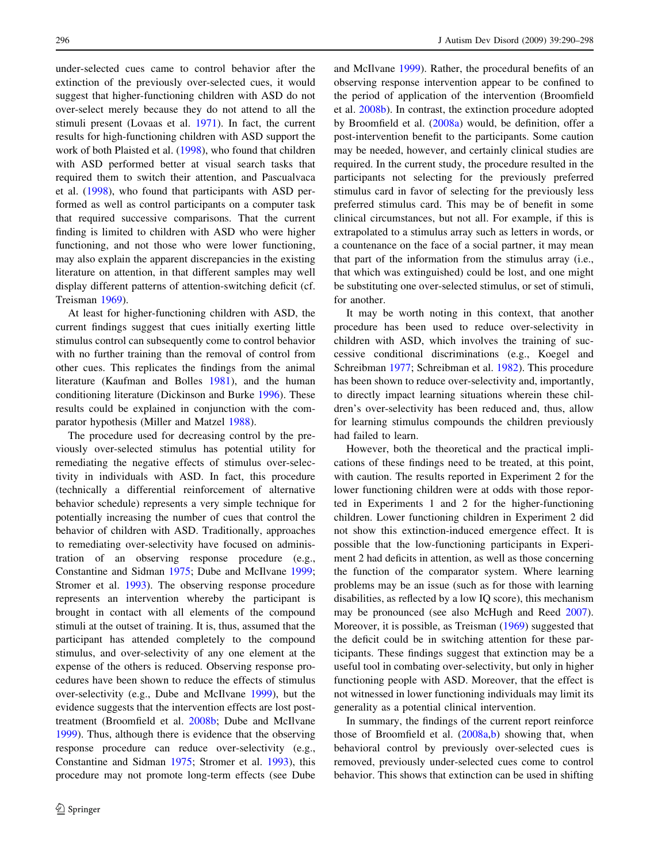under-selected cues came to control behavior after the extinction of the previously over-selected cues, it would suggest that higher-functioning children with ASD do not over-select merely because they do not attend to all the stimuli present (Lovaas et al. [1971](#page-7-0)). In fact, the current results for high-functioning children with ASD support the work of both Plaisted et al. ([1998\)](#page-8-0), who found that children with ASD performed better at visual search tasks that required them to switch their attention, and Pascualvaca et al. [\(1998](#page-7-0)), who found that participants with ASD performed as well as control participants on a computer task that required successive comparisons. That the current finding is limited to children with ASD who were higher functioning, and not those who were lower functioning, may also explain the apparent discrepancies in the existing literature on attention, in that different samples may well display different patterns of attention-switching deficit (cf. Treisman [1969](#page-8-0)).

At least for higher-functioning children with ASD, the current findings suggest that cues initially exerting little stimulus control can subsequently come to control behavior with no further training than the removal of control from other cues. This replicates the findings from the animal literature (Kaufman and Bolles [1981\)](#page-7-0), and the human conditioning literature (Dickinson and Burke [1996](#page-7-0)). These results could be explained in conjunction with the comparator hypothesis (Miller and Matzel [1988](#page-7-0)).

The procedure used for decreasing control by the previously over-selected stimulus has potential utility for remediating the negative effects of stimulus over-selectivity in individuals with ASD. In fact, this procedure (technically a differential reinforcement of alternative behavior schedule) represents a very simple technique for potentially increasing the number of cues that control the behavior of children with ASD. Traditionally, approaches to remediating over-selectivity have focused on administration of an observing response procedure (e.g., Constantine and Sidman [1975;](#page-7-0) Dube and McIlvane [1999](#page-7-0); Stromer et al. [1993](#page-8-0)). The observing response procedure represents an intervention whereby the participant is brought in contact with all elements of the compound stimuli at the outset of training. It is, thus, assumed that the participant has attended completely to the compound stimulus, and over-selectivity of any one element at the expense of the others is reduced. Observing response procedures have been shown to reduce the effects of stimulus over-selectivity (e.g., Dube and McIlvane [1999\)](#page-7-0), but the evidence suggests that the intervention effects are lost posttreatment (Broomfield et al. [2008b](#page-7-0); Dube and McIlvane [1999\)](#page-7-0). Thus, although there is evidence that the observing response procedure can reduce over-selectivity (e.g., Constantine and Sidman [1975](#page-7-0); Stromer et al. [1993\)](#page-8-0), this procedure may not promote long-term effects (see Dube

and McIlvane [1999\)](#page-7-0). Rather, the procedural benefits of an observing response intervention appear to be confined to the period of application of the intervention (Broomfield et al. [2008b](#page-7-0)). In contrast, the extinction procedure adopted by Broomfield et al. ([2008a](#page-7-0)) would, be definition, offer a post-intervention benefit to the participants. Some caution may be needed, however, and certainly clinical studies are required. In the current study, the procedure resulted in the participants not selecting for the previously preferred stimulus card in favor of selecting for the previously less preferred stimulus card. This may be of benefit in some clinical circumstances, but not all. For example, if this is extrapolated to a stimulus array such as letters in words, or a countenance on the face of a social partner, it may mean that part of the information from the stimulus array (i.e., that which was extinguished) could be lost, and one might be substituting one over-selected stimulus, or set of stimuli, for another.

It may be worth noting in this context, that another procedure has been used to reduce over-selectivity in children with ASD, which involves the training of successive conditional discriminations (e.g., Koegel and Schreibman [1977;](#page-7-0) Schreibman et al. [1982](#page-8-0)). This procedure has been shown to reduce over-selectivity and, importantly, to directly impact learning situations wherein these children's over-selectivity has been reduced and, thus, allow for learning stimulus compounds the children previously had failed to learn.

However, both the theoretical and the practical implications of these findings need to be treated, at this point, with caution. The results reported in Experiment 2 for the lower functioning children were at odds with those reported in Experiments 1 and 2 for the higher-functioning children. Lower functioning children in Experiment 2 did not show this extinction-induced emergence effect. It is possible that the low-functioning participants in Experiment 2 had deficits in attention, as well as those concerning the function of the comparator system. Where learning problems may be an issue (such as for those with learning disabilities, as reflected by a low IQ score), this mechanism may be pronounced (see also McHugh and Reed [2007](#page-7-0)). Moreover, it is possible, as Treisman [\(1969](#page-8-0)) suggested that the deficit could be in switching attention for these participants. These findings suggest that extinction may be a useful tool in combating over-selectivity, but only in higher functioning people with ASD. Moreover, that the effect is not witnessed in lower functioning individuals may limit its generality as a potential clinical intervention.

In summary, the findings of the current report reinforce those of Broomfield et al.  $(2008a,b)$  $(2008a,b)$  $(2008a,b)$  showing that, when behavioral control by previously over-selected cues is removed, previously under-selected cues come to control behavior. This shows that extinction can be used in shifting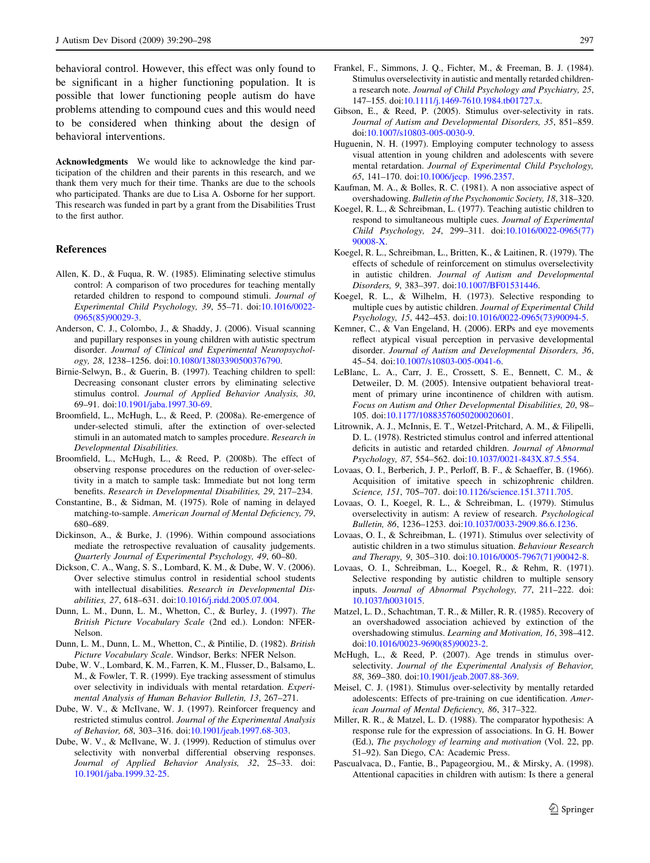<span id="page-7-0"></span>behavioral control. However, this effect was only found to be significant in a higher functioning population. It is possible that lower functioning people autism do have problems attending to compound cues and this would need to be considered when thinking about the design of behavioral interventions.

Acknowledgments We would like to acknowledge the kind participation of the children and their parents in this research, and we thank them very much for their time. Thanks are due to the schools who participated. Thanks are due to Lisa A. Osborne for her support. This research was funded in part by a grant from the Disabilities Trust to the first author.

#### References

- Allen, K. D., & Fuqua, R. W. (1985). Eliminating selective stimulus control: A comparison of two procedures for teaching mentally retarded children to respond to compound stimuli. Journal of Experimental Child Psychology, 39, 55–71. doi[:10.1016/0022-](http://dx.doi.org/10.1016/0022-0965(85)90029-3) [0965\(85\)90029-3](http://dx.doi.org/10.1016/0022-0965(85)90029-3).
- Anderson, C. J., Colombo, J., & Shaddy, J. (2006). Visual scanning and pupillary responses in young children with autistic spectrum disorder. Journal of Clinical and Experimental Neuropsychology, 28, 1238–1256. doi:[10.1080/13803390500376790.](http://dx.doi.org/10.1080/13803390500376790)
- Birnie-Selwyn, B., & Guerin, B. (1997). Teaching children to spell: Decreasing consonant cluster errors by eliminating selective stimulus control. Journal of Applied Behavior Analysis, 30, 69–91. doi[:10.1901/jaba.1997.30-69](http://dx.doi.org/10.1901/jaba.1997.30-69).
- Broomfield, L., McHugh, L., & Reed, P. (2008a). Re-emergence of under-selected stimuli, after the extinction of over-selected stimuli in an automated match to samples procedure. Research in Developmental Disabilities.
- Broomfield, L., McHugh, L., & Reed, P. (2008b). The effect of observing response procedures on the reduction of over-selectivity in a match to sample task: Immediate but not long term benefits. Research in Developmental Disabilities, 29, 217–234.
- Constantine, B., & Sidman, M. (1975). Role of naming in delayed matching-to-sample. American Journal of Mental Deficiency, 79, 680–689.
- Dickinson, A., & Burke, J. (1996). Within compound associations mediate the retrospective revaluation of causality judgements. Quarterly Journal of Experimental Psychology, 49, 60–80.
- Dickson, C. A., Wang, S. S., Lombard, K. M., & Dube, W. V. (2006). Over selective stimulus control in residential school students with intellectual disabilities. Research in Developmental Disabilities, 27, 618–631. doi:[10.1016/j.ridd.2005.07.004](http://dx.doi.org/10.1016/j.ridd.2005.07.004).
- Dunn, L. M., Dunn, L. M., Whetton, C., & Burley, J. (1997). The British Picture Vocabulary Scale (2nd ed.). London: NFER-Nelson.
- Dunn, L. M., Dunn, L. M., Whetton, C., & Pintilie, D. (1982). British Picture Vocabulary Scale. Windsor, Berks: NFER Nelson.
- Dube, W. V., Lombard, K. M., Farren, K. M., Flusser, D., Balsamo, L. M., & Fowler, T. R. (1999). Eye tracking assessment of stimulus over selectivity in individuals with mental retardation. Experimental Analysis of Human Behavior Bulletin, 13, 267–271.
- Dube, W. V., & McIlvane, W. J. (1997). Reinforcer frequency and restricted stimulus control. Journal of the Experimental Analysis of Behavior, 68, 303–316. doi:[10.1901/jeab.1997.68-303](http://dx.doi.org/10.1901/jeab.1997.68-303).
- Dube, W. V., & McIlvane, W. J. (1999). Reduction of stimulus over selectivity with nonverbal differential observing responses. Journal of Applied Behavior Analysis, 32, 25–33. doi: [10.1901/jaba.1999.32-25](http://dx.doi.org/10.1901/jaba.1999.32-25).
- Frankel, F., Simmons, J. Q., Fichter, M., & Freeman, B. J. (1984). Stimulus overselectivity in autistic and mentally retarded childrena research note. Journal of Child Psychology and Psychiatry, 25, 147–155. doi[:10.1111/j.1469-7610.1984.tb01727.x.](http://dx.doi.org/10.1111/j.1469-7610.1984.tb01727.x)
- Gibson, E., & Reed, P. (2005). Stimulus over-selectivity in rats. Journal of Autism and Developmental Disorders, 35, 851–859. doi[:10.1007/s10803-005-0030-9](http://dx.doi.org/10.1007/s10803-005-0030-9).
- Huguenin, N. H. (1997). Employing computer technology to assess visual attention in young children and adolescents with severe mental retardation. Journal of Experimental Child Psychology, 65, 141–170. doi[:10.1006/jecp. 1996.2357](http://dx.doi.org/10.1006/jecp. 1996.2357).
- Kaufman, M. A., & Bolles, R. C. (1981). A non associative aspect of overshadowing. Bulletin of the Psychonomic Society, 18, 318–320.
- Koegel, R. L., & Schreibman, L. (1977). Teaching autistic children to respond to simultaneous multiple cues. Journal of Experimental Child Psychology, 24, 299–311. doi:[10.1016/0022-0965\(77\)](http://dx.doi.org/10.1016/0022-0965(77)90008-X) [90008-X](http://dx.doi.org/10.1016/0022-0965(77)90008-X).
- Koegel, R. L., Schreibman, L., Britten, K., & Laitinen, R. (1979). The effects of schedule of reinforcement on stimulus overselectivity in autistic children. Journal of Autism and Developmental Disorders, 9, 383–397. doi:[10.1007/BF01531446.](http://dx.doi.org/10.1007/BF01531446)
- Koegel, R. L., & Wilhelm, H. (1973). Selective responding to multiple cues by autistic children. Journal of Experimental Child Psychology, 15, 442–453. doi[:10.1016/0022-0965\(73\)90094-5](http://dx.doi.org/10.1016/0022-0965(73)90094-5).
- Kemner, C., & Van Engeland, H. (2006). ERPs and eye movements reflect atypical visual perception in pervasive developmental disorder. Journal of Autism and Developmental Disorders, 36, 45–54. doi[:10.1007/s10803-005-0041-6](http://dx.doi.org/10.1007/s10803-005-0041-6).
- LeBlanc, L. A., Carr, J. E., Crossett, S. E., Bennett, C. M., & Detweiler, D. M. (2005). Intensive outpatient behavioral treatment of primary urine incontinence of children with autism. Focus on Autism and Other Developmental Disabilities, 20, 98– 105. doi[:10.1177/10883576050200020601.](http://dx.doi.org/10.1177/10883576050200020601)
- Litrownik, A. J., McInnis, E. T., Wetzel-Pritchard, A. M., & Filipelli, D. L. (1978). Restricted stimulus control and inferred attentional deficits in autistic and retarded children. Journal of Abnormal Psychology, 87, 554–562. doi[:10.1037/0021-843X.87.5.554.](http://dx.doi.org/10.1037/0021-843X.87.5.554)
- Lovaas, O. I., Berberich, J. P., Perloff, B. F., & Schaeffer, B. (1966). Acquisition of imitative speech in schizophrenic children. Science, 151, 705–707. doi:[10.1126/science.151.3711.705](http://dx.doi.org/10.1126/science.151.3711.705).
- Lovaas, O. I., Koegel, R. L., & Schreibman, L. (1979). Stimulus overselectivity in autism: A review of research. Psychological Bulletin, 86, 1236–1253. doi:[10.1037/0033-2909.86.6.1236](http://dx.doi.org/10.1037/0033-2909.86.6.1236).
- Lovaas, O. I., & Schreibman, L. (1971). Stimulus over selectivity of autistic children in a two stimulus situation. Behaviour Research and Therapy, 9, 305–310. doi:[10.1016/0005-7967\(71\)90042-8.](http://dx.doi.org/10.1016/0005-7967(71)90042-8)
- Lovaas, O. I., Schreibman, L., Koegel, R., & Rehm, R. (1971). Selective responding by autistic children to multiple sensory inputs. Journal of Abnormal Psychology, 77, 211–222. doi: [10.1037/h0031015.](http://dx.doi.org/10.1037/h0031015)
- Matzel, L. D., Schachtman, T. R., & Miller, R. R. (1985). Recovery of an overshadowed association achieved by extinction of the overshadowing stimulus. Learning and Motivation, 16, 398–412. doi[:10.1016/0023-9690\(85\)90023-2](http://dx.doi.org/10.1016/0023-9690(85)90023-2).
- McHugh, L., & Reed, P. (2007). Age trends in stimulus overselectivity. Journal of the Experimental Analysis of Behavior, 88, 369–380. doi[:10.1901/jeab.2007.88-369.](http://dx.doi.org/10.1901/jeab.2007.88-369)
- Meisel, C. J. (1981). Stimulus over-selectivity by mentally retarded adolescents: Effects of pre-training on cue identification. American Journal of Mental Deficiency, 86, 317–322.
- Miller, R. R., & Matzel, L. D. (1988). The comparator hypothesis: A response rule for the expression of associations. In G. H. Bower (Ed.), The psychology of learning and motivation (Vol. 22, pp. 51–92). San Diego, CA: Academic Press.
- Pascualvaca, D., Fantie, B., Papageorgiou, M., & Mirsky, A. (1998). Attentional capacities in children with autism: Is there a general